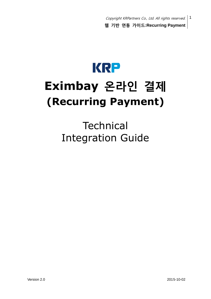

# **Eximbay** 온라인 결제 **(Recurring Payment)**

**Technical** Integration Guide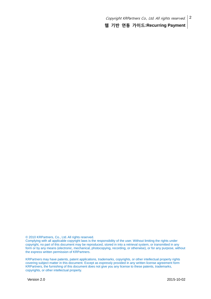© 2010 KRPartners, Co., Ltd. All rights reserved.

Complying with all applicable copyright laws is the responsibility of the user. Without limiting the rights under copyright, no part of this document may be reproduced, stored in into a retrieval system, or transmitted in any form or by any means (electronic, mechanical, photocopying, recording, or otherwise), or for any purpose, without the express written permission of KRPartners.

KRPartners may have patents, patent applications, trademarks, copyrights, or other intellectual property rights covering subject matter in this document. Except as expressly provided in any written license agreement form KRPartners, the furnishing of this document does not give you any license to these patents, trademarks, copyrights, or other intellectual property.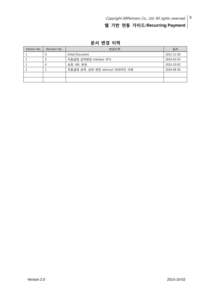| Version No. | Revision No. | 변경이력                             | 일자         |
|-------------|--------------|----------------------------------|------------|
|             |              | Initial Document                 | 2011-12-20 |
|             |              | 자동결제 금액변경 interface 추가           | 2014-02-03 |
|             |              | 요청 URL 변경                        | 2015-10-02 |
|             |              | 자동결제 금액, 상태 변경 returnurl 파라미터 삭제 | 2019-08-30 |
|             |              |                                  |            |
|             |              |                                  |            |

문서 변경 이력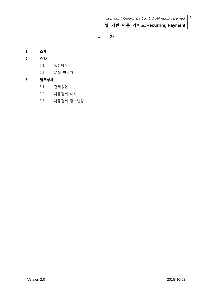## 목 차

## 1 소개

- 2 요약
	- 2.1 통신방식
	- 2.2 문의 연락처

## 3 업무상세

- 3.1 결제승인
- 3.2 자동결제 해지
- 3.3 자동결제 정보변경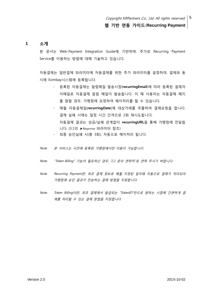#### 1 소개

본 문서는 Web-Payment Integration Guide에 기반하며, 추가로 Recurring Payment Service를 이용하는 방법에 대해 기술하고 있습니다.

자동결제는 일반결제 파라미터에 자동결제를 위한 추가 파라미터를 설정하여, 결제와 동 시에 Eximbay시스템에 등록됩니다.

- 등록된 자동결제는 알림메일 발송시점(recurringEmail)에 따라 등록된 결제자 이메일로 자동결제 알림 메일이 발송됩니다. 이 때 사용자는 자동결제 해지 를 원할 경우, 가맹점에 요청하여 해지처리를 할 수 있습니다.
- 매월 자동결제일(recurringDate)에 대상거래를 추출하여 결제요청을 합니다. 결제 실패 시에는 일정 시간 간격으로 2회 재시도됩니다. 자동결제 결과는 성공/실패 관계없이 recurringURL을 통해 가맹점에 전달됩 니다. (3.1의 ▶Response 파라미터 참조)
- 최종 승인실패 시(총 3회), 자동으로 해지처리 됩니다.
- Note. 본 서비스는 사전에 등록된 가맹점에서만 이용이 가능합니다.
- Note. "Token Billing" 기능이 필요하신 경우, "2.2 문의 연락처"로 연락 주시기 바랍니다.
- Note. Recurring Payment란, 최초 결제 정보로 매월 지정된 일자에 자동으로 결제가 처리되어 가맹점에 승인 결과가 전송하는 결제 방법을 지칭합니다.
- Note. Token Billing이란, 최초 결제에서 발급되는 "TokenID"만으로 원하는 시점에 간편하게 결 제를 처리할 수 있는 결제 방법을 지칭합니다.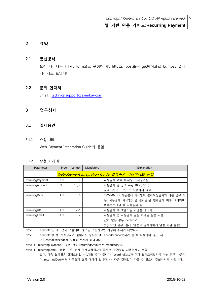## 2 요약

#### 2.1 통신방식

요청 데이터는 HTML form으로 구성한 후, https의 post또는 get방식으로 Eximbay 결제 페이지로 보냅니다.

#### 2.2 문의 연락처

Email : [technicalsupport@eximbay.com](mailto:technicalsupport@eximbay.com)

#### 3 업무상세

#### 3.1 결제승인

3.1.1 요청 URL

Web-Payment Integration Guide와 동일

#### 3.1.2 요청 파라미터

| Parameter        | Type                                        | Length         | Mandatory | Explanation                            |  |
|------------------|---------------------------------------------|----------------|-----------|----------------------------------------|--|
|                  | Web-Payment Integration Guide 결제승인 파라미터와 동일 |                |           |                                        |  |
| recurringPayment | AN                                          |                |           | 자동결제 여부. (Y:사용, N:사용안함)                |  |
| recurringAmount  | N                                           | 10, 2          |           | 자동결제 총 금액. (e.g. 10.50, 9.15)          |  |
|                  |                                             |                |           | 금액 3자리 구분 ''는 사용하지 않음.                 |  |
| recurringDate    | AN                                          | 8              |           | YYYYMMDD. 자동결제 시작일이 결제요청일자와 다른 경우 사    |  |
|                  |                                             |                |           | 용. 자동결제 시작일(다음 결제일)은 현재일자 이후 여야하며,     |  |
|                  |                                             |                |           | 이후로는 1달 후 자동결제 됨.                      |  |
| recurringURL     | AN                                          | 255            |           | 자동결제 후 호출되는 가맹점 페이지                    |  |
| recurringEmail   | AN                                          | $\overline{2}$ |           | 자동결제 전 자동결제 알림 이메일 발송 시점.              |  |
|                  |                                             |                |           | 값이 없는 경우, default='3'.                 |  |
|                  |                                             |                |           | (e.g. '7'인 경우, 결제 7일전에 결제자에게 알림 메일 발송) |  |

Note. 1 – Parameter는 대소문자 구별되며, 정의된 소문자로만 사용해 주시기 바랍니다.

Note. 2 – Parameter값 중, 특수문자가 들어가는 항목은 URLEncoder.encode처리 한 후 요청하며, 수신 시 URLDecoder.decode를 사용해 주시기 바랍니다.

Note. 3 - recurringPayment가 'Y'인 경우, recurringAmount는 mandatory임.

Note. 4 - recurringDate가 없는 경우, 현재 결제요청일자(한국시간 기준)부터 자동결제에 포함 되며, 다음 결제일은 결제요청일 + 1개월 후가 됩니다. recurringDate가 현재 결제요청일자가 아닌 경우 사용하 며, recurrindDate부터 자동결제 요청 대상이 됩니다. => 다음 결제일이 다를 수 있으니 주의하시기 바랍니다.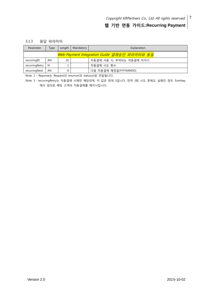#### 3.1.3 응답 파라미터

| Parameter      | Type | Length | Mandatory | Explanation                                 |
|----------------|------|--------|-----------|---------------------------------------------|
|                |      |        |           | Web-Payment Integration Guide 결제승인 파라미터와 동일 |
| recurringID    | AN   | 20     |           | 자동결제 사용 시, 부여되는 자동결제 아이디                    |
| recurringRetry | - N  |        |           | 자동결제 시도 횟수                                  |
| recurringNext  | AN   | 8      |           | 다음 자동결제 예정일(YYYYMMDD)                       |

Note. 1 – Reponse는 Request의 returnurl과 statusurl로 전달됩니다.

Note. 3 - recurringRetry는 자동결제 시에만 해당되며, 이 값은 최대 3입니다. 만약 3회 시도 후에도 실패인 경우, Eximbay 에서 임의로 해당 고객의 자동결제를 해지시킵니다.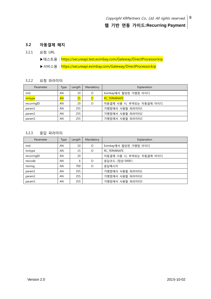## 3.2 자동결제 해지

3.2.1 요청 URL

▶테스트용 : https://secureapi.test.eximbay.com/Gateway/DirectProcessor.krp

▶서비스용 : https://secureapi.eximbay.com/Gateway/DirectProcessor.krp

### 3.2.2 요청 파라미터

| Parameter          | Type      | Length | Mandatory | Explanation              |
|--------------------|-----------|--------|-----------|--------------------------|
| mid                | AN        | 10     | $\circ$   | Eximbay에서 할당한 가맹점 아이디    |
| txntype            | <b>AN</b> |        |           | <b>RC_TERMINATE</b>      |
| recurringID        | AN        | 20     | Ο         | 자동결제 사용 시, 부여되는 자동결제 아이디 |
| param1             | AN        | 255    |           | 가맹점에서 사용할 파라미터1          |
| param <sub>2</sub> | AN        | 255    |           | 가맹점에서 사용할 파라미터2          |
| param3             | AN        | 255    |           | 가맹점에서 사용할 파라미터3          |

#### 3.2.3 응답 파라미터

| Parameter          | <b>Type</b> | Length | Mandatory | Explanation              |
|--------------------|-------------|--------|-----------|--------------------------|
| mid                | AN          | 10     | $\Omega$  | Eximbay에서 할당한 가맹점 아이디    |
| txntype            | AN          | 15     | $\Omega$  | RC TERMINATE             |
| recurringID        | AN          | 20     |           | 자동결제 사용 시, 부여되는 자동결제 아이디 |
| rescode            | AN          | 6      | $\Omega$  | 응답코드. (정상:'0000')        |
| resmsq             | AN          | 700    | $\Omega$  | 응답메시지                    |
| param1             | AN          | 255    |           | 가맹점에서 사용할 파라미터1          |
| param <sub>2</sub> | AN          | 255    |           | 가맹점에서 사용할 파라미터2          |
| param3             | AN          | 255    |           | 가맹점에서 사용할 파라미터3          |